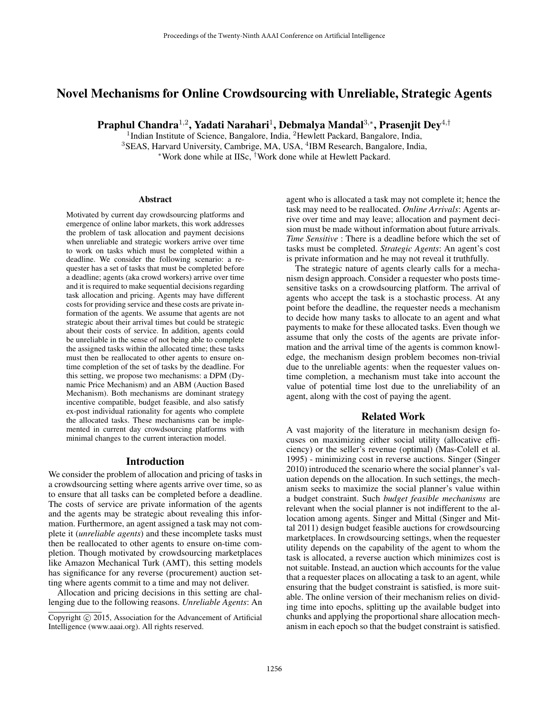# Novel Mechanisms for Online Crowdsourcing with Unreliable, Strategic Agents

Praphul Chandra $^{1,2}$ , Yadati Narahari $^1$ , Debmalya Mandal $^{3,\ast}$ , Prasenjit Dey $^{4,\dagger}$ 

<sup>1</sup>Indian Institute of Science, Bangalore, India, <sup>2</sup>Hewlett Packard, Bangalore, India, <sup>3</sup>SEAS, Harvard University, Cambrige, MA, USA, <sup>4</sup>IBM Research, Bangalore, India, <sup>∗</sup>Work done while at IISc, †Work done while at Hewlett Packard.

#### Abstract

Motivated by current day crowdsourcing platforms and emergence of online labor markets, this work addresses the problem of task allocation and payment decisions when unreliable and strategic workers arrive over time to work on tasks which must be completed within a deadline. We consider the following scenario: a requester has a set of tasks that must be completed before a deadline; agents (aka crowd workers) arrive over time and it is required to make sequential decisions regarding task allocation and pricing. Agents may have different costs for providing service and these costs are private information of the agents. We assume that agents are not strategic about their arrival times but could be strategic about their costs of service. In addition, agents could be unreliable in the sense of not being able to complete the assigned tasks within the allocated time; these tasks must then be reallocated to other agents to ensure ontime completion of the set of tasks by the deadline. For this setting, we propose two mechanisms: a DPM (Dynamic Price Mechanism) and an ABM (Auction Based Mechanism). Both mechanisms are dominant strategy incentive compatible, budget feasible, and also satisfy ex-post individual rationality for agents who complete the allocated tasks. These mechanisms can be implemented in current day crowdsourcing platforms with minimal changes to the current interaction model.

#### Introduction

We consider the problem of allocation and pricing of tasks in a crowdsourcing setting where agents arrive over time, so as to ensure that all tasks can be completed before a deadline. The costs of service are private information of the agents and the agents may be strategic about revealing this information. Furthermore, an agent assigned a task may not complete it (*unreliable agents*) and these incomplete tasks must then be reallocated to other agents to ensure on-time completion. Though motivated by crowdsourcing marketplaces like Amazon Mechanical Turk (AMT), this setting models has significance for any reverse (procurement) auction setting where agents commit to a time and may not deliver.

Allocation and pricing decisions in this setting are challenging due to the following reasons. *Unreliable Agents*: An

agent who is allocated a task may not complete it; hence the task may need to be reallocated. *Online Arrivals*: Agents arrive over time and may leave; allocation and payment decision must be made without information about future arrivals. *Time Sensitive* : There is a deadline before which the set of tasks must be completed. *Strategic Agents*: An agent's cost is private information and he may not reveal it truthfully.

The strategic nature of agents clearly calls for a mechanism design approach. Consider a requester who posts timesensitive tasks on a crowdsourcing platform. The arrival of agents who accept the task is a stochastic process. At any point before the deadline, the requester needs a mechanism to decide how many tasks to allocate to an agent and what payments to make for these allocated tasks. Even though we assume that only the costs of the agents are private information and the arrival time of the agents is common knowledge, the mechanism design problem becomes non-trivial due to the unreliable agents: when the requester values ontime completion, a mechanism must take into account the value of potential time lost due to the unreliability of an agent, along with the cost of paying the agent.

## Related Work

A vast majority of the literature in mechanism design focuses on maximizing either social utility (allocative efficiency) or the seller's revenue (optimal) (Mas-Colell et al. 1995) - minimizing cost in reverse auctions. Singer (Singer 2010) introduced the scenario where the social planner's valuation depends on the allocation. In such settings, the mechanism seeks to maximize the social planner's value within a budget constraint. Such *budget feasible mechanisms* are relevant when the social planner is not indifferent to the allocation among agents. Singer and Mittal (Singer and Mittal 2011) design budget feasible auctions for crowdsourcing marketplaces. In crowdsourcing settings, when the requester utility depends on the capability of the agent to whom the task is allocated, a reverse auction which minimizes cost is not suitable. Instead, an auction which accounts for the value that a requester places on allocating a task to an agent, while ensuring that the budget constraint is satisfied, is more suitable. The online version of their mechanism relies on dividing time into epochs, splitting up the available budget into chunks and applying the proportional share allocation mechanism in each epoch so that the budget constraint is satisfied.

Copyright (c) 2015, Association for the Advancement of Artificial Intelligence (www.aaai.org). All rights reserved.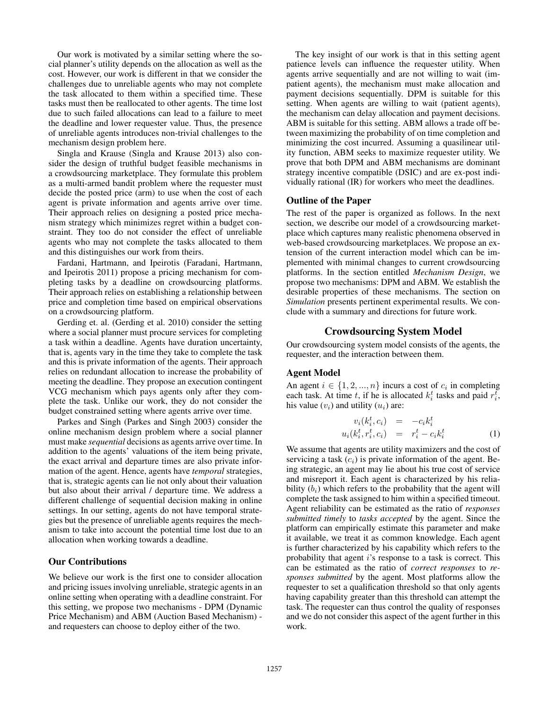Our work is motivated by a similar setting where the social planner's utility depends on the allocation as well as the cost. However, our work is different in that we consider the challenges due to unreliable agents who may not complete the task allocated to them within a specified time. These tasks must then be reallocated to other agents. The time lost due to such failed allocations can lead to a failure to meet the deadline and lower requester value. Thus, the presence of unreliable agents introduces non-trivial challenges to the mechanism design problem here.

Singla and Krause (Singla and Krause 2013) also consider the design of truthful budget feasible mechanisms in a crowdsourcing marketplace. They formulate this problem as a multi-armed bandit problem where the requester must decide the posted price (arm) to use when the cost of each agent is private information and agents arrive over time. Their approach relies on designing a posted price mechanism strategy which minimizes regret within a budget constraint. They too do not consider the effect of unreliable agents who may not complete the tasks allocated to them and this distinguishes our work from theirs.

Fardani, Hartmann, and Ipeirotis (Faradani, Hartmann, and Ipeirotis 2011) propose a pricing mechanism for completing tasks by a deadline on crowdsourcing platforms. Their approach relies on establishing a relationship between price and completion time based on empirical observations on a crowdsourcing platform.

Gerding et. al. (Gerding et al. 2010) consider the setting where a social planner must procure services for completing a task within a deadline. Agents have duration uncertainty, that is, agents vary in the time they take to complete the task and this is private information of the agents. Their approach relies on redundant allocation to increase the probability of meeting the deadline. They propose an execution contingent VCG mechanism which pays agents only after they complete the task. Unlike our work, they do not consider the budget constrained setting where agents arrive over time.

Parkes and Singh (Parkes and Singh 2003) consider the online mechanism design problem where a social planner must make *sequential* decisions as agents arrive over time. In addition to the agents' valuations of the item being private, the exact arrival and departure times are also private information of the agent. Hence, agents have *temporal* strategies, that is, strategic agents can lie not only about their valuation but also about their arrival / departure time. We address a different challenge of sequential decision making in online settings. In our setting, agents do not have temporal strategies but the presence of unreliable agents requires the mechanism to take into account the potential time lost due to an allocation when working towards a deadline.

## Our Contributions

We believe our work is the first one to consider allocation and pricing issues involving unreliable, strategic agents in an online setting when operating with a deadline constraint. For this setting, we propose two mechanisms - DPM (Dynamic Price Mechanism) and ABM (Auction Based Mechanism) and requesters can choose to deploy either of the two.

The key insight of our work is that in this setting agent patience levels can influence the requester utility. When agents arrive sequentially and are not willing to wait (impatient agents), the mechanism must make allocation and payment decisions sequentially. DPM is suitable for this setting. When agents are willing to wait (patient agents), the mechanism can delay allocation and payment decisions. ABM is suitable for this setting. ABM allows a trade off between maximizing the probability of on time completion and minimizing the cost incurred. Assuming a quasilinear utility function, ABM seeks to maximize requester utility. We prove that both DPM and ABM mechanisms are dominant strategy incentive compatible (DSIC) and are ex-post individually rational (IR) for workers who meet the deadlines.

## Outline of the Paper

The rest of the paper is organized as follows. In the next section, we describe our model of a crowdsourcing marketplace which captures many realistic phenomena observed in web-based crowdsourcing marketplaces. We propose an extension of the current interaction model which can be implemented with minimal changes to current crowdsourcing platforms. In the section entitled *Mechanism Design*, we propose two mechanisms: DPM and ABM. We establish the desirable properties of these mechanisms. The section on *Simulation* presents pertinent experimental results. We conclude with a summary and directions for future work.

## Crowdsourcing System Model

Our crowdsourcing system model consists of the agents, the requester, and the interaction between them.

## Agent Model

An agent  $i \in \{1, 2, ..., n\}$  incurs a cost of  $c_i$  in completing each task. At time t, if he is allocated  $k_i^t$  tasks and paid  $r_i^t$ , his value  $(v_i)$  and utility  $(u_i)$  are:

$$
v_i(k_i^t, c_i) = -c_i k_i^t
$$
  

$$
u_i(k_i^t, r_i^t, c_i) = r_i^t - c_i k_i^t
$$
 (1)

We assume that agents are utility maximizers and the cost of servicing a task  $(c_i)$  is private information of the agent. Being strategic, an agent may lie about his true cost of service and misreport it. Each agent is characterized by his reliability  $(b_i)$  which refers to the probability that the agent will complete the task assigned to him within a specified timeout. Agent reliability can be estimated as the ratio of *responses submitted timely* to *tasks accepted* by the agent. Since the platform can empirically estimate this parameter and make it available, we treat it as common knowledge. Each agent is further characterized by his capability which refers to the probability that agent  $i$ 's response to a task is correct. This can be estimated as the ratio of *correct responses* to *responses submitted* by the agent. Most platforms allow the requester to set a qualification threshold so that only agents having capability greater than this threshold can attempt the task. The requester can thus control the quality of responses and we do not consider this aspect of the agent further in this work.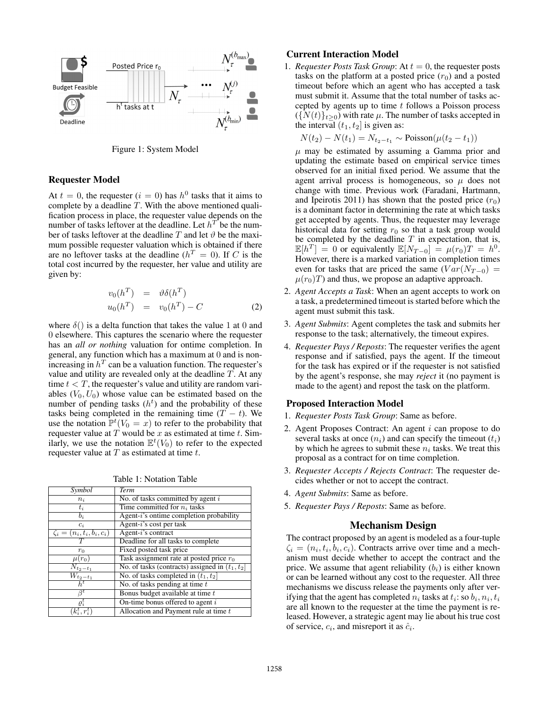

Figure 1: System Model

#### Requester Model

At  $t = 0$ , the requester  $(i = 0)$  has  $h^0$  tasks that it aims to complete by a deadline T. With the above mentioned qualification process in place, the requester value depends on the number of tasks leftover at the deadline. Let  $h^T$  be the number of tasks leftover at the deadline T and let  $\vartheta$  be the maximum possible requester valuation which is obtained if there are no leftover tasks at the deadline ( $h^T = 0$ ). If C is the total cost incurred by the requester, her value and utility are given by:

$$
v_0(h^T) = \vartheta \delta(h^T)
$$
  
\n
$$
u_0(h^T) = v_0(h^T) - C
$$
\n(2)

where  $\delta()$  is a delta function that takes the value 1 at 0 and 0 elsewhere. This captures the scenario where the requester has an *all or nothing* valuation for ontime completion. In general, any function which has a maximum at 0 and is nonincreasing in  $h^T$  can be a valuation function. The requester's value and utility are revealed only at the deadline  $T$ . At any time  $t < T$ , the requester's value and utility are random variables  $(V_0, U_0)$  whose value can be estimated based on the number of pending tasks  $(h<sup>t</sup>)$  and the probability of these tasks being completed in the remaining time  $(T - t)$ . We use the notation  $\mathbb{P}^t(V_0 = x)$  to refer to the probability that requester value at  $T$  would be  $x$  as estimated at time  $t$ . Similarly, we use the notation  $\mathbb{E}^t(V_0)$  to refer to the expected requester value at  $T$  as estimated at time  $t$ .

Table 1: Notation Table

| Symbol                                      | <b>Term</b>                                       |
|---------------------------------------------|---------------------------------------------------|
| $n_i$                                       | No. of tasks committed by agent $i$               |
| $t_i$                                       | Time committed for $n_i$ tasks                    |
| $b_i$                                       | Agent-i's ontime completion probability           |
| $c_i$                                       | Agent- $i$ 's cost per task                       |
| $\zeta_i = (n_i, \overline{t_i, b_i, c_i})$ | Agent-i's contract                                |
| T                                           | Deadline for all tasks to complete                |
| $r_0$                                       | Fixed posted task price                           |
| $\mu(r_0)$                                  | Task assignment rate at posted price $r_0$        |
| $N_{t_2-t_1}$                               | No. of tasks (contracts) assigned in $(t_1, t_2]$ |
| $\overline{W_{t_2-t_1}}$                    | No. of tasks completed in $(t_1, t_2]$            |
| $h^t$                                       | No. of tasks pending at time $t$                  |
| $\beta^{\iota}$                             | Bonus budget available at time t                  |
| $\varrho_i^t$                               | On-time bonus offered to agent $i$                |
| $k_i^t, r_i^t$                              | Allocation and Payment rule at time $t$           |

### Current Interaction Model

1. *Requester Posts Task Group*: At  $t = 0$ , the requester posts tasks on the platform at a posted price  $(r_0)$  and a posted timeout before which an agent who has accepted a task must submit it. Assume that the total number of tasks accepted by agents up to time  $t$  follows a Poisson process  $({N(t)}_{t\geq0})$  with rate  $\mu$ . The number of tasks accepted in the interval  $(t_1, t_2]$  is given as:

$$
N(t_2) - N(t_1) = N_{t_2 - t_1} \sim \text{Poisson}(\mu(t_2 - t_1))
$$

 $\mu$  may be estimated by assuming a Gamma prior and updating the estimate based on empirical service times observed for an initial fixed period. We assume that the agent arrival process is homogeneous, so  $\mu$  does not change with time. Previous work (Faradani, Hartmann, and Ipeirotis 2011) has shown that the posted price  $(r_0)$ is a dominant factor in determining the rate at which tasks get accepted by agents. Thus, the requester may leverage historical data for setting  $r_0$  so that a task group would be completed by the deadline  $T$  in expectation, that is,  $\mathbb{E}[h^T] = 0$  or equivalently  $\mathbb{E}[N_{T-0}] = \mu(r_0)T = h^0$ . However, there is a marked variation in completion times even for tasks that are priced the same  $(Var(N_{T-0})$  =  $\mu(r_0)T$ ) and thus, we propose an adaptive approach.

- 2. *Agent Accepts a Task*: When an agent accepts to work on a task, a predetermined timeout is started before which the agent must submit this task.
- 3. *Agent Submits*: Agent completes the task and submits her response to the task; alternatively, the timeout expires.
- 4. *Requester Pays / Reposts*: The requester verifies the agent response and if satisfied, pays the agent. If the timeout for the task has expired or if the requester is not satisfied by the agent's response, she may *reject* it (no payment is made to the agent) and repost the task on the platform.

## Proposed Interaction Model

- 1. *Requester Posts Task Group*: Same as before.
- 2. Agent Proposes Contract: An agent  $i$  can propose to do several tasks at once  $(n_i)$  and can specify the timeout  $(t_i)$ by which he agrees to submit these  $n_i$  tasks. We treat this proposal as a contract for on time completion.
- 3. *Requester Accepts / Rejects Contract*: The requester decides whether or not to accept the contract.
- 4. *Agent Submits*: Same as before.
- 5. *Requester Pays / Reposts*: Same as before.

#### Mechanism Design

The contract proposed by an agent is modeled as a four-tuple  $\zeta_i = (n_i, t_i, b_i, c_i)$ . Contracts arrive over time and a mechanism must decide whether to accept the contract and the price. We assume that agent reliability  $(b_i)$  is either known or can be learned without any cost to the requester. All three mechanisms we discuss release the payments only after verifying that the agent has completed  $n_i$  tasks at  $t_i$ : so  $b_i, n_i, t_i$ are all known to the requester at the time the payment is released. However, a strategic agent may lie about his true cost of service,  $c_i$ , and misreport it as  $\hat{c}_i$ .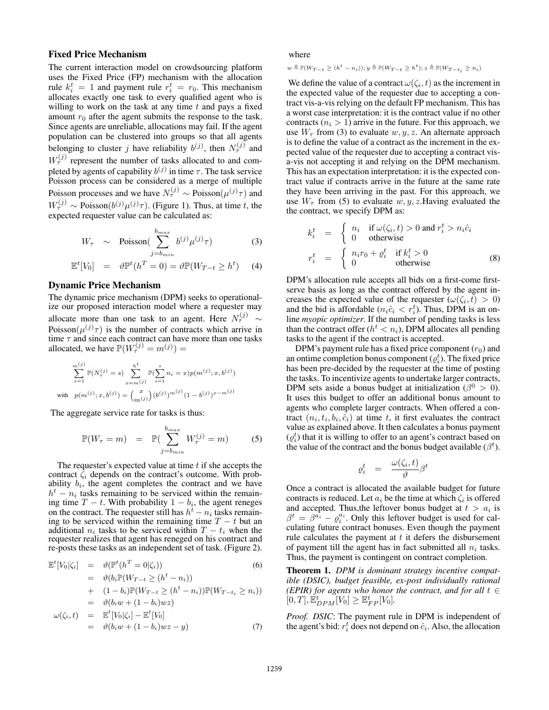## Fixed Price Mechanism

The current interaction model on crowdsourcing platform uses the Fixed Price (FP) mechanism with the allocation rule  $k_i^t = 1$  and payment rule  $r_i^t = r_0$ . This mechanism allocates exactly one task to every qualified agent who is willing to work on the task at any time  $t$  and pays a fixed amount  $r_0$  after the agent submits the response to the task. Since agents are unreliable, allocations may fail. If the agent population can be clustered into groups so that all agents belonging to cluster j have reliability  $b^{(j)}$ , then  $N_{\tau}^{(j)}$  and  $W_{\tau}^{(j)}$  represent the number of tasks allocated to and completed by agents of capability  $b^{(j)}$  in time  $\tau$ . The task service Poisson process can be considered as a merge of multiple Poisson processes and we have  $N_{\tau}^{(j)} \sim \text{Poisson}(\mu^{(j)}\tau)$  and  $W_{\tau}^{(j)} \sim \text{Poisson}(b^{(j)} \mu^{(j)} \tau)$ . (Figure 1). Thus, at time t, the expected requester value can be calculated as:

$$
W_{\tau} \sim \text{Poisson}(\sum_{j=b_{min}}^{b_{max}} b^{(j)} \mu^{(j)} \tau)
$$
 (3)

$$
\mathbb{E}^t[V_0] = \vartheta \mathbb{P}^t(h^T = 0) = \vartheta \mathbb{P}(W_{T-t} \ge h^t) \quad (4)
$$

#### Dynamic Price Mechanism

The dynamic price mechanism (DPM) seeks to operationalize our proposed interaction model where a requester may allocate more than one task to an agent. Here  $N_{\tau}^{(j)}$   $\sim$ Poisson $(\mu^{(j)}\tau)$  is the number of contracts which arrive in time  $\tau$  and since each contract can have more than one tasks allocated, we have  $\mathbb{P}(W^{(j)}_{\tau} = m^{(j)}) =$ 

$$
\sum_{s=1}^{m^{(j)}} \mathbb{P}(N^{(j)}_{\tau} = s) \sum_{x=m^{(j)}}^{h^t} \mathbb{P}(\sum_{i=1}^s n_i = x) p(m^{(j)}; x, b^{(j)})
$$
  
with  $p(m^{(j)}; x, b^{(j)}) = {x \choose m^{(j)}} (b^{(j)})^{m^{(j)}} (1 - b^{(j)})^{x-m^{(j)}}$ 

The aggregate service rate for tasks is thus:

$$
\mathbb{P}(W_{\tau} = m) = \mathbb{P}(\sum_{j=b_{min}}^{b_{max}} W_{\tau}^{(j)} = m)
$$
 (5)

The requester's expected value at time  $t$  if she accepts the contract  $\zeta_i$  depends on the contract's outcome. With probability  $b_i$ , the agent completes the contract and we have  $h<sup>t</sup> - n<sub>i</sub>$  tasks remaining to be serviced within the remaining time  $T - t$ . With probability  $1 - b_i$ , the agent reneges on the contract. The requester still has  $h<sup>t</sup> - n<sub>i</sub>$  tasks remaining to be serviced within the remaining time  $T - t$  but an additional  $n_i$  tasks to be serviced within  $T - t_i$  when the requester realizes that agent has reneged on his contract and re-posts these tasks as an independent set of task. (Figure 2).

$$
\mathbb{E}^{t}[V_{0}|\zeta_{i}] = \vartheta(\mathbb{P}^{t}(h^{T} = 0|\zeta_{i}))
$$
\n
$$
= \vartheta(b_{i}\mathbb{P}(W_{T-t} \ge (h^{t} - n_{i}))
$$
\n
$$
+ (1 - b_{i})\mathbb{P}(W_{T-t} \ge (h^{t} - n_{i}))\mathbb{P}(W_{T-t_{i}} \ge n_{i}))
$$
\n
$$
= \vartheta(b_{i}w + (1 - b_{i})wz)
$$
\n
$$
\omega(\zeta_{i}, t) = \mathbb{E}^{t}[V_{0}|\zeta_{i}] - \mathbb{E}^{t}[V_{0}]
$$
\n
$$
= \vartheta(b_{i}w + (1 - b_{i})wz - y)
$$
\n(7)

where

 $w \triangleq \mathbb{P}(W_{T-t} \geq (h^t - n_i)); y \triangleq \mathbb{P}(W_{T-t} \geq h^t); z \triangleq \mathbb{P}(W_{T-t_i} \geq n_i)$ 

We define the value of a contract  $\omega(\zeta_i, t)$  as the increment in the expected value of the requester due to accepting a contract vis-a-vis relying on the default FP mechanism. This has a worst case interpretation: it is the contract value if no other contracts  $(n<sub>i</sub> > 1)$  arrive in the future. For this approach, we use  $W_{\tau}$  from (3) to evaluate  $w, y, z$ . An alternate approach is to define the value of a contract as the increment in the expected value of the requester due to accepting a contract visa-vis not accepting it and relying on the DPM mechanism. This has an expectation interpretation: it is the expected contract value if contracts arrive in the future at the same rate they have been arriving in the past. For this approach, we use  $W_{\tau}$  from (5) to evaluate w, y, z. Having evaluated the the contract, we specify DPM as:

$$
k_i^t = \begin{cases} n_i & \text{if } \omega(\zeta_i, t) > 0 \text{ and } r_i^t > n_i \hat{c}_i \\ 0 & \text{otherwise} \end{cases}
$$
  

$$
r_i^t = \begin{cases} n_i r_0 + \varrho_i^t & \text{if } k_i^t > 0 \\ 0 & \text{otherwise} \end{cases}
$$
 (8)

DPM's allocation rule accepts all bids on a first-come firstserve basis as long as the contract offered by the agent increases the expected value of the requester  $(\omega(\zeta_i, t) > 0)$ and the bid is affordable  $(n_i \hat{c}_i < r_i^t)$ . Thus, DPM is an online *myopic optimizer*. If the number of pending tasks is less than the contract offer  $(h^t < n_i)$ , DPM allocates all pending tasks to the agent if the contract is accepted.

DPM's payment rule has a fixed price component  $(r_0)$  and an ontime completion bonus component  $(\varrho_i^t)$ . The fixed price has been pre-decided by the requester at the time of posting the tasks. To incentivize agents to undertake larger contracts, DPM sets aside a bonus budget at initialization ( $\beta^0 > 0$ ). It uses this budget to offer an additional bonus amount to agents who complete larger contracts. When offered a contract  $(n_i, t_i, b_i, \hat{c}_i)$  at time t, it first evaluates the contract value as explained above. It then calculates a bonus payment  $(\varrho_i^t)$  that it is willing to offer to an agent's contract based on the value of the contract and the bonus budget available  $(\beta^t)$ .

$$
\varrho^t_i \quad = \quad \frac{\omega(\zeta_i,t)}{\vartheta} \beta^t
$$

Once a contract is allocated the available budget for future contracts is reduced. Let  $a_i$  be the time at which  $\zeta_i$  is offered and accepted. Thus, the leftover bonus budget at  $t > a_i$  is  $\beta^t = \beta^{a_i} - \varrho_i^{a_i}$ . Only this leftover budget is used for calculating future contract bonuses. Even though the payment rule calculates the payment at  $t$  it defers the disbursement of payment till the agent has in fact submitted all  $n_i$  tasks. Thus, the payment is contingent on contract completion.

Theorem 1. *DPM is dominant strategy incentive compatible (DSIC), budget feasible, ex-post individually rational (EPIR) for agents who honor the contract, and for all*  $t \in$  $[0, T], \mathbb{E}_{DPM}^t[V_0] \geq \mathbb{E}_{FP}^t[V_0].$ 

*Proof. DSIC*: The payment rule in DPM is independent of the agent's bid:  $r_i^t$  does not depend on  $\hat{c}_i$ . Also, the allocation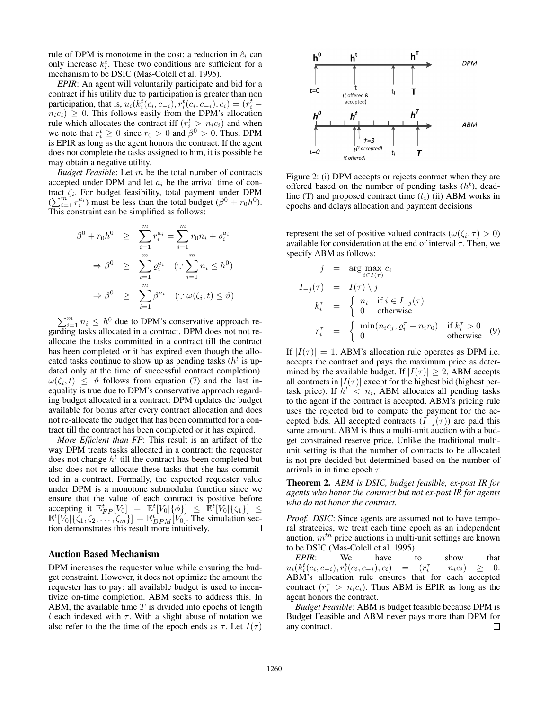rule of DPM is monotone in the cost: a reduction in  $\hat{c}_i$  can only increase  $k_i^t$ . These two conditions are sufficient for a mechanism to be DSIC (Mas-Colell et al. 1995).

*EPIR*: An agent will voluntarily participate and bid for a contract if his utility due to participation is greater than non participation, that is,  $u_i(k_i^t(c_i, c_{-i}), r_i^t(c_i, c_{-i}), c_i) = (r_i^t$  $n_i c_i$ )  $\geq 0$ . This follows easily from the DPM's allocation rule which allocates the contract iff  $(r_i^t > n_i c_i)$  and when we note that  $r_i^t \ge 0$  since  $r_0 > 0$  and  $\beta^0 > 0$ . Thus, DPM is EPIR as long as the agent honors the contract. If the agent does not complete the tasks assigned to him, it is possible he may obtain a negative utility.

*Budget Feasible*: Let m be the total number of contracts accepted under DPM and let  $a_i$  be the arrival time of contract  $\zeta_i$ . For budget feasibility, total payment under DPM  $(\sum_{i=1}^{m} r_i^{a_i})$  must be less than the total budget  $(\beta^0 + r_0 h^0)$ . This constraint can be simplified as follows:

$$
\beta^{0} + r_{0}h^{0} \geq \sum_{i=1}^{m} r_{i}^{a_{i}} = \sum_{i=1}^{m} r_{0}n_{i} + \varrho_{i}^{a_{i}}
$$

$$
\Rightarrow \beta^{0} \geq \sum_{i=1}^{m} \varrho_{i}^{a_{i}} \quad (\because \sum_{i=1}^{m} n_{i} \leq h^{0})
$$

$$
\Rightarrow \beta^{0} \geq \sum_{i=1}^{m} \beta^{a_{i}} \quad (\because \omega(\zeta_{i}, t) \leq \vartheta)
$$

 $\sum_{i=1}^{m} n_i \leq h^0$  due to DPM's conservative approach regarding tasks allocated in a contract. DPM does not not reallocate the tasks committed in a contract till the contract has been completed or it has expired even though the allocated tasks continue to show up as pending tasks ( $h<sup>t</sup>$  is updated only at the time of successful contract completion).  $\omega(\zeta_i,t) \leq \vartheta$  follows from equation (7) and the last inequality is true due to DPM's conservative approach regarding budget allocated in a contract: DPM updates the budget available for bonus after every contract allocation and does not re-allocate the budget that has been committed for a contract till the contract has been completed or it has expired.

*More Efficient than FP*: This result is an artifact of the way DPM treats tasks allocated in a contract: the requester does not change  $h<sup>t</sup>$  till the contract has been completed but also does not re-allocate these tasks that she has committed in a contract. Formally, the expected requester value under DPM is a monotone submodular function since we ensure that the value of each contract is positive before accepting it  $\mathbb{E}_{FP}^t[V_0] = \mathbb{E}^t[V_0|\{\phi\}] \leq \mathbb{E}^t[V_0|\{\zeta_1\}] \leq \mathbb{E}^t[V_0|\{\zeta_1\}] \leq \mathbb{E}^t[V_0|\{\zeta_1\}] = \mathbb{E}_{DPM}^t[V_0]$ . The simulation section demonstrates this result more intuitively.

#### Auction Based Mechanism

DPM increases the requester value while ensuring the budget constraint. However, it does not optimize the amount the requester has to pay: all available budget is used to incentivize on-time completion. ABM seeks to address this. In ABM, the available time  $T$  is divided into epochs of length l each indexed with  $\tau$ . With a slight abuse of notation we also refer to the the time of the epoch ends as  $\tau$ . Let  $I(\tau)$ 



Figure 2: (i) DPM accepts or rejects contract when they are offered based on the number of pending tasks  $(h<sup>t</sup>)$ , deadline (T) and proposed contract time  $(t_i)$  (ii) ABM works in epochs and delays allocation and payment decisions

represent the set of positive valued contracts  $(\omega(\zeta_i, \tau) > 0)$ available for consideration at the end of interval  $\tau$ . Then, we specify ABM as follows:

$$
j = \arg \max_{i \in I(\tau)} c_i
$$
  
\n
$$
I_{-j}(\tau) = I(\tau) \setminus j
$$
  
\n
$$
k_i^{\tau} = \begin{cases} n_i & \text{if } i \in I_{-j}(\tau) \\ 0 & \text{otherwise} \end{cases}
$$
  
\n
$$
r_i^{\tau} = \begin{cases} \min(n_i c_j, \varrho_i^{\tau} + n_i r_0) & \text{if } k_i^{\tau} > 0 \\ 0 & \text{otherwise} \end{cases}
$$
 (9)

If  $|I(\tau)| = 1$ , ABM's allocation rule operates as DPM i.e. accepts the contract and pays the maximum price as determined by the available budget. If  $|I(\tau)| \geq 2$ , ABM accepts all contracts in  $|I(\tau)|$  except for the highest bid (highest pertask price). If  $h^t < n_i$ , ABM allocates all pending tasks to the agent if the contract is accepted. ABM's pricing rule uses the rejected bid to compute the payment for the accepted bids. All accepted contracts  $(I_{-i}(\tau))$  are paid this same amount. ABM is thus a multi-unit auction with a budget constrained reserve price. Unlike the traditional multiunit setting is that the number of contracts to be allocated is not pre-decided but determined based on the number of arrivals in in time epoch  $\tau$ .

Theorem 2. *ABM is DSIC, budget feasible, ex-post IR for agents who honor the contract but not ex-post IR for agents who do not honor the contract.*

*Proof. DSIC*: Since agents are assumed not to have temporal strategies, we treat each time epoch as an independent auction.  $m<sup>th</sup>$  price auctions in multi-unit settings are known to be DSIC (Mas-Colell et al. 1995).

*EPIR*: We have to show that  $u_i(k_i^t(c_i, c_{-i}), r_i^t(c_i, c_{-i}), c_i) = (r_i^{\tau} - n_i c_i) \geq 0.$ ABM's allocation rule ensures that for each accepted contract  $(r_i^{\tau} > n_i c_i)$ . Thus ABM is EPIR as long as the agent honors the contract.

*Budget Feasible*: ABM is budget feasible because DPM is Budget Feasible and ABM never pays more than DPM for any contract.  $\Box$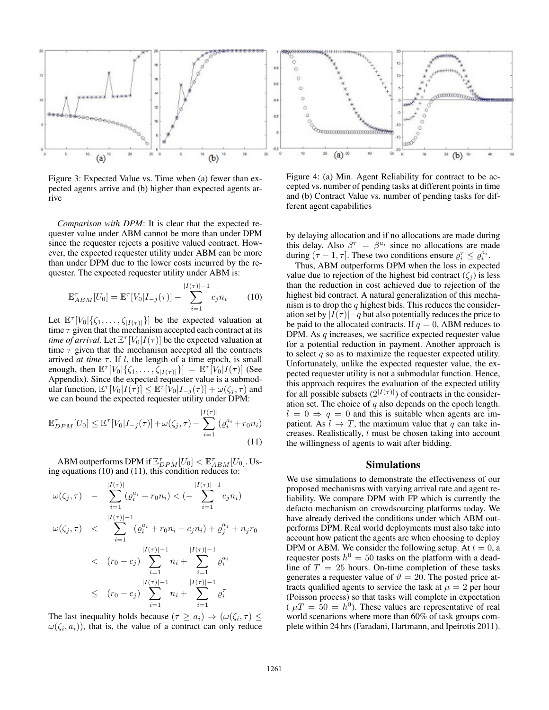

Figure 3: Expected Value vs. Time when (a) fewer than expected agents arrive and (b) higher than expected agents arrive

*Comparison with DPM*: It is clear that the expected requester value under ABM cannot be more than under DPM since the requester rejects a positive valued contract. However, the expected requester utility under ABM can be more than under DPM due to the lower costs incurred by the requester. The expected requester utility under ABM is:

$$
\mathbb{E}_{ABM}^{\tau}[U_0] = \mathbb{E}^{\tau}[V_0|I_{-j}(\tau)] - \sum_{i=1}^{|I(\tau)|-1} c_j n_i \qquad (10)
$$

Let  $\mathbb{E}^{\tau}[V_0|\{\zeta_1,\ldots,\zeta_{|I(\tau)|}\}]$  be the expected valuation at time  $\tau$  given that the mechanism accepted each contract at its *time of arrival*. Let  $\mathbb{E}^{\tau}[V_0|I(\tau)]$  be the expected valuation at time  $\tau$  given that the mechanism accepted all the contracts arrived *at time*  $\tau$ . If *l*, the length of a time epoch, is small enough, then  $\mathbb{E}^{\tau}[V_0|\{\zeta_1,\ldots,\zeta_{|I(\tau)|}\}] = \mathbb{E}^{\tau}[V_0|I(\tau)]$  (See Appendix). Since the expected requester value is a submodular function,  $\mathbb{E}^{\tau}[V_0|I(\tau)] \leq \mathbb{E}^{\tau}[\dot{V}_0|I_{-j}(\tau)] + \omega(\zeta_j, \tau)$  and we can bound the expected requester utility under DPM:

$$
\mathbb{E}_{DPM}^{\tau}[U_0] \leq \mathbb{E}^{\tau}[V_0|I_{-j}(\tau)] + \omega(\zeta_j, \tau) - \sum_{i=1}^{|I(\tau)|} (\varrho_i^{a_i} + r_0 n_i)
$$
\n(11)

ABM outperforms DPM if  $\mathbb{E}_{DPM}^{\tau}[U_0]<\mathbb{E}_{ABM}^{\tau}[U_0].$  Using equations (10) and (11), this condition reduces to:

$$
\omega(\zeta_j, \tau) - \sum_{i=1}^{|I(\tau)|} (\varrho_i^{a_i} + r_0 n_i) < (-\sum_{i=1}^{|I(\tau)|-1} c_j n_i)
$$
\n
$$
\omega(\zeta_j, \tau) < \sum_{i=1}^{|I(\tau)|-1} (\varrho_i^{a_i} + r_0 n_i - c_j n_i) + \varrho_j^{a_j} + n_j r_0
$$
\n
$$
\langle r_0 - c_j \rangle \sum_{i=1}^{|I(\tau)|-1} n_i + \sum_{i=1}^{|I(\tau)|-1} \varrho_i^{a_i}
$$
\n
$$
\leq (r_0 - c_j) \sum_{i=1}^{|I(\tau)|-1} n_i + \sum_{i=1}^{|I(\tau)|-1} \varrho_i^{\tau}
$$

The last inequality holds because  $(\tau \ge a_i) \Rightarrow (\omega(\zeta_i, \tau) \le$  $\omega(\zeta_i, a_i)$ , that is, the value of a contract can only reduce

Figure 4: (a) Min. Agent Reliability for contract to be accepted vs. number of pending tasks at different points in time and (b) Contract Value vs. number of pending tasks for different agent capabilities

by delaying allocation and if no allocations are made during this delay. Also  $\beta^{\tau} = \beta^{a_i}$  since no allocations are made during  $(\tau - 1, \tau]$ . These two conditions ensure  $\rho_i^{\tau} \leq \rho_i^{a_i}$ .

Thus, ABM outperforms DPM when the loss in expected value due to rejection of the highest bid contract  $(\zeta_i)$  is less than the reduction in cost achieved due to rejection of the highest bid contract. A natural generalization of this mechanism is to drop the  $q$  highest bids. This reduces the consideration set by  $|I(\tau)|-q$  but also potentially reduces the price to be paid to the allocated contracts. If  $q = 0$ , ABM reduces to DPM. As  $q$  increases, we sacrifice expected requester value for a potential reduction in payment. Another approach is to select  $q$  so as to maximize the requester expected utility. Unfortunately, unlike the expected requester value, the expected requester utility is not a submodular function. Hence, this approach requires the evaluation of the expected utility for all possible subsets  $(2^{|I(\tau)|})$  of contracts in the consideration set. The choice of  $q$  also depends on the epoch length.  $l = 0 \Rightarrow q = 0$  and this is suitable when agents are impatient. As  $l \rightarrow T$ , the maximum value that q can take increases. Realistically, l must be chosen taking into account the willingness of agents to wait after bidding.

### Simulations

We use simulations to demonstrate the effectiveness of our proposed mechanisms with varying arrival rate and agent reliability. We compare DPM with FP which is currently the defacto mechanism on crowdsourcing platforms today. We have already derived the conditions under which ABM outperforms DPM. Real world deployments must also take into account how patient the agents are when choosing to deploy DPM or ABM. We consider the following setup. At  $t = 0$ , a requester posts  $h^0 = 50$  tasks on the platform with a deadline of  $T = 25$  hours. On-time completion of these tasks generates a requester value of  $\vartheta = 20$ . The posted price attracts qualified agents to service the task at  $\mu = 2$  per hour (Poisson process) so that tasks will complete in expectation  $(\mu T = 50 = h^0)$ . These values are representative of real world scenarions where more than 60% of task groups complete within 24 hrs (Faradani, Hartmann, and Ipeirotis 2011).